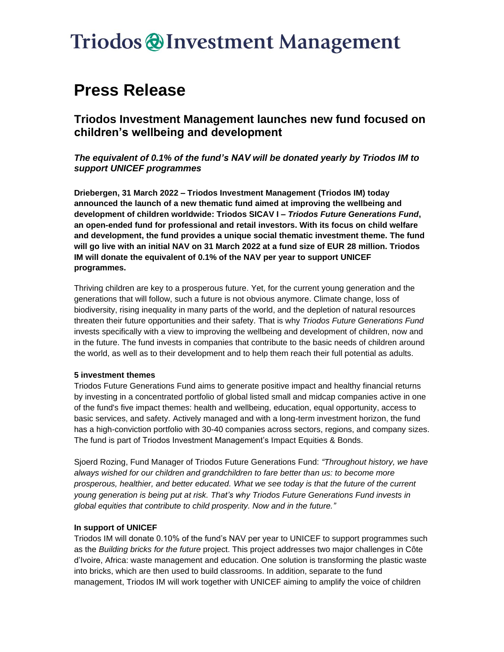### **Triodos @Investment Management**

### **Press Release**

**Triodos Investment Management launches new fund focused on children's wellbeing and development**

*The equivalent of 0.1% of the fund's NAV will be donated yearly by Triodos IM to support UNICEF programmes*

**Driebergen, 31 March 2022 – Triodos Investment Management (Triodos IM) today announced the launch of a new thematic fund aimed at improving the wellbeing and development of children worldwide: Triodos SICAV I –** *Triodos Future Generations Fund***, an open-ended fund for professional and retail investors. With its focus on child welfare and development, the fund provides a unique social thematic investment theme. The fund will go live with an initial NAV on 31 March 2022 at a fund size of EUR 28 million. Triodos IM will donate the equivalent of 0.1% of the NAV per year to support UNICEF programmes.**

Thriving children are key to a prosperous future. Yet, for the current young generation and the generations that will follow, such a future is not obvious anymore. Climate change, loss of biodiversity, rising inequality in many parts of the world, and the depletion of natural resources threaten their future opportunities and their safety. That is why *Triodos Future Generations Fund* invests specifically with a view to improving the wellbeing and development of children, now and in the future. The fund invests in companies that contribute to the basic needs of children around the world, as well as to their development and to help them reach their full potential as adults.

#### **5 investment themes**

Triodos Future Generations Fund aims to generate positive impact and healthy financial returns by investing in a concentrated portfolio of global listed small and midcap companies active in one of the fund's five impact themes: health and wellbeing, education, equal opportunity, access to basic services, and safety. Actively managed and with a long-term investment horizon, the fund has a high-conviction portfolio with 30-40 companies across sectors, regions, and company sizes. The fund is part of Triodos Investment Management's Impact Equities & Bonds.

Sjoerd Rozing, Fund Manager of Triodos Future Generations Fund: *"Throughout history, we have always wished for our children and grandchildren to fare better than us: to become more prosperous, healthier, and better educated. What we see today is that the future of the current young generation is being put at risk. That's why Triodos Future Generations Fund invests in global equities that contribute to child prosperity. Now and in the future."*

### **In support of UNICEF**

Triodos IM will donate 0.10% of the fund's NAV per year to UNICEF to support programmes such as the *Building bricks for the future* project. This project addresses two major challenges in Côte d'Ivoire, Africa: waste management and education. One solution is transforming the plastic waste into bricks, which are then used to build classrooms. In addition, separate to the fund management, Triodos IM will work together with UNICEF aiming to amplify the voice of children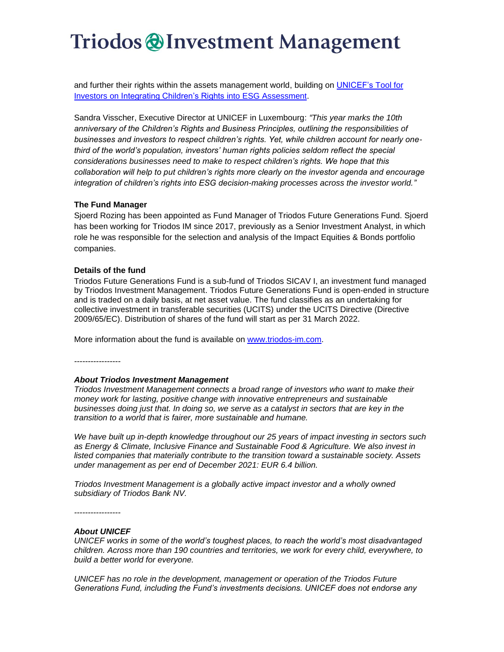## **Triodos @Investment Management**

and further their rights within the assets management world, building on [UNICEF's Tool for](https://www.unicef.org/media/96091/file/Tool%20for%20Investors%20on%20Integrating%20Children%E2%80%99s%20Rights%20Into%20ESG%20Assessment.pdf)  [Investors on Integrating Children's Rights into ESG Assessment.](https://www.unicef.org/media/96091/file/Tool%20for%20Investors%20on%20Integrating%20Children%E2%80%99s%20Rights%20Into%20ESG%20Assessment.pdf)

Sandra Visscher, Executive Director at UNICEF in Luxembourg: *"This year marks the 10th anniversary of the Children's Rights and Business Principles, outlining the responsibilities of businesses and investors to respect children's rights. Yet, while children account for nearly onethird of the world's population, investors' human rights policies seldom reflect the special considerations businesses need to make to respect children's rights. We hope that this collaboration will help to put children's rights more clearly on the investor agenda and encourage integration of children's rights into ESG decision-making processes across the investor world."*

#### **The Fund Manager**

Sjoerd Rozing has been appointed as Fund Manager of Triodos Future Generations Fund. Sjoerd has been working for Triodos IM since 2017, previously as a Senior Investment Analyst, in which role he was responsible for the selection and analysis of the Impact Equities & Bonds portfolio companies.

#### **Details of the fund**

Triodos Future Generations Fund is a sub-fund of Triodos SICAV I, an investment fund managed by Triodos Investment Management. Triodos Future Generations Fund is open-ended in structure and is traded on a daily basis, at net asset value. The fund classifies as an undertaking for collective investment in transferable securities (UCITS) under the UCITS Directive (Directive 2009/65/EC). Distribution of shares of the fund will start as per 31 March 2022.

More information about the fund is available on [www.triodos-im.com.](https://www.triodos-im.com/funds/triodos-future-generations-fund)

*-----------------*

#### *About Triodos Investment Management*

*Triodos Investment Management connects a broad range of investors who want to make their money work for lasting, positive change with innovative entrepreneurs and sustainable businesses doing just that. In doing so, we serve as a catalyst in sectors that are key in the transition to a world that is fairer, more sustainable and humane.*

*We have built up in-depth knowledge throughout our 25 years of impact investing in sectors such as Energy & Climate, Inclusive Finance and Sustainable Food & Agriculture. We also invest in listed companies that materially contribute to the transition toward a sustainable society. Assets under management as per end of December 2021: EUR 6.4 billion.* 

*Triodos Investment Management is a globally active impact investor and a wholly owned subsidiary of Triodos Bank NV.*

*-----------------*

#### *About UNICEF*

*UNICEF works in some of the world's toughest places, to reach the world's most disadvantaged children. Across more than 190 countries and territories, we work for every child, everywhere, to build a better world for everyone.*

*UNICEF has no role in the development, management or operation of the Triodos Future Generations Fund, including the Fund's investments decisions. UNICEF does not endorse any*